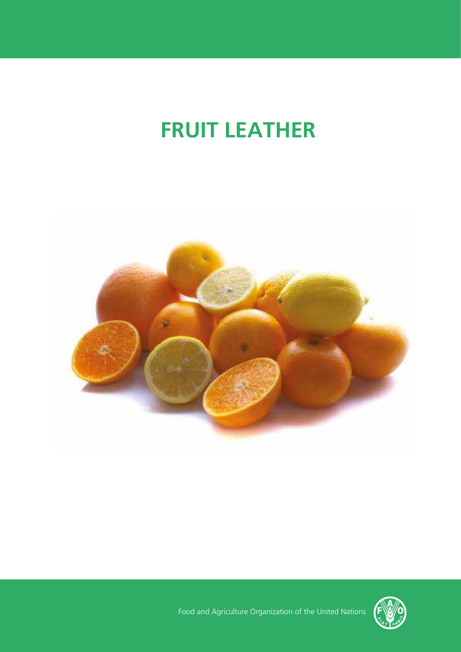# **FRUIT LEATHER**





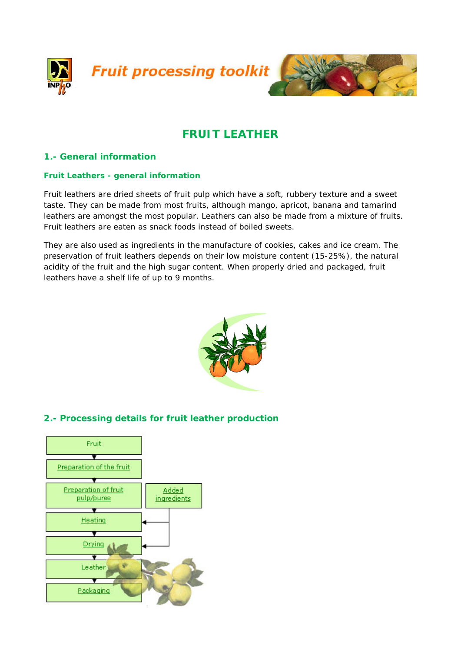



# **FRUIT LEATHER**

# **1.- General information**

#### **Fruit Leathers - general information**

Fruit leathers are dried sheets of fruit pulp which have a soft, rubbery texture and a sweet taste. They can be made from most fruits, although mango, apricot, banana and tamarind leathers are amongst the most popular. Leathers can also be made from a mixture of fruits. Fruit leathers are eaten as snack foods instead of boiled sweets.

They are also used as ingredients in the manufacture of cookies, cakes and ice cream. The preservation of fruit leathers depends on their low moisture content (15-25%), the natural acidity of the fruit and the high sugar content. When properly dried and packaged, fruit leathers have a shelf life of up to 9 months.



# **2.- Processing details for fruit leather production**

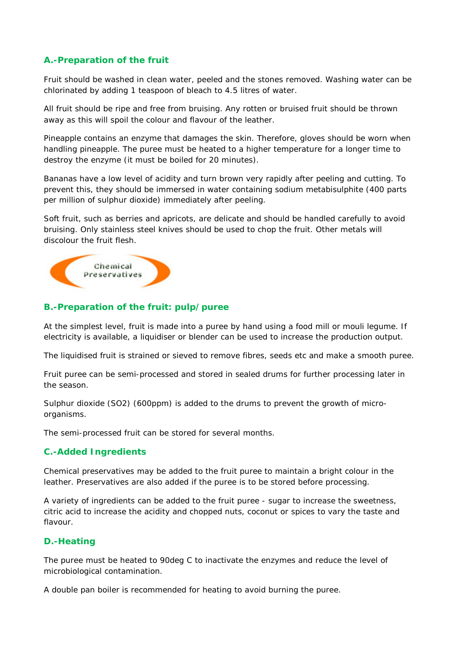# **A.-Preparation of the fruit**

Fruit should be washed in clean water, peeled and the stones removed. Washing water can be chlorinated by adding 1 teaspoon of bleach to 4.5 litres of water.

All fruit should be ripe and free from bruising. Any rotten or bruised fruit should be thrown away as this will spoil the colour and flavour of the leather.

Pineapple contains an enzyme that damages the skin. Therefore, gloves should be worn when handling pineapple. The puree must be heated to a higher temperature for a longer time to destroy the enzyme (it must be boiled for 20 minutes).

Bananas have a low level of acidity and turn brown very rapidly after peeling and cutting. To prevent this, they should be immersed in water containing sodium metabisulphite (400 parts per million of sulphur dioxide) immediately after peeling.

Soft fruit, such as berries and apricots, are delicate and should be handled carefully to avoid bruising. Only stainless steel knives should be used to chop the fruit. Other metals will discolour the fruit flesh.



#### **B.-Preparation of the fruit: pulp/puree**

At the simplest level, fruit is made into a puree by hand using a food mill or mouli legume. If electricity is available, a liquidiser or blender can be used to increase the production output.

The liquidised fruit is strained or sieved to remove fibres, seeds etc and make a smooth puree.

Fruit puree can be semi-processed and stored in sealed drums for further processing later in the season.

Sulphur dioxide (SO2) (600ppm) is added to the drums to prevent the growth of microorganisms.

The semi-processed fruit can be stored for several months.

#### **C.-Added Ingredients**

Chemical preservatives may be added to the fruit puree to maintain a bright colour in the leather. Preservatives are also added if the puree is to be stored before processing.

A variety of ingredients can be added to the fruit puree - sugar to increase the sweetness, citric acid to increase the acidity and chopped nuts, coconut or spices to vary the taste and flavour.

#### **D.-Heating**

The puree must be heated to 90deg C to inactivate the enzymes and reduce the level of microbiological contamination.

A double pan boiler is recommended for heating to avoid burning the puree.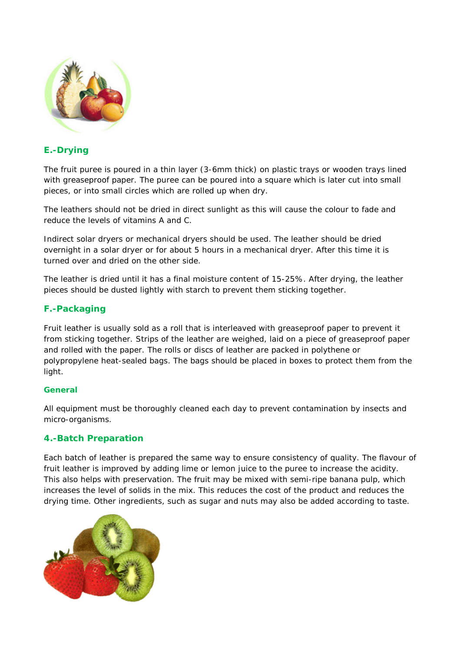

# **E.-Drying**

The fruit puree is poured in a thin layer (3-6mm thick) on plastic trays or wooden trays lined with greaseproof paper. The puree can be poured into a square which is later cut into small pieces, or into small circles which are rolled up when dry.

The leathers should not be dried in direct sunlight as this will cause the colour to fade and reduce the levels of vitamins A and C.

Indirect solar dryers or mechanical dryers should be used. The leather should be dried overnight in a solar dryer or for about 5 hours in a mechanical dryer. After this time it is turned over and dried on the other side.

The leather is dried until it has a final moisture content of 15-25%. After drying, the leather pieces should be dusted lightly with starch to prevent them sticking together.

### **F.-Packaging**

Fruit leather is usually sold as a roll that is interleaved with greaseproof paper to prevent it from sticking together. Strips of the leather are weighed, laid on a piece of greaseproof paper and rolled with the paper. The rolls or discs of leather are packed in polythene or polypropylene heat-sealed bags. The bags should be placed in boxes to protect them from the light.

#### **General**

All equipment must be thoroughly cleaned each day to prevent contamination by insects and micro-organisms.

#### **4.-Batch Preparation**

Each batch of leather is prepared the same way to ensure consistency of quality. The flavour of fruit leather is improved by adding lime or lemon juice to the puree to increase the acidity. This also helps with preservation. The fruit may be mixed with semi-ripe banana pulp, which increases the level of solids in the mix. This reduces the cost of the product and reduces the drying time. Other ingredients, such as sugar and nuts may also be added according to taste.